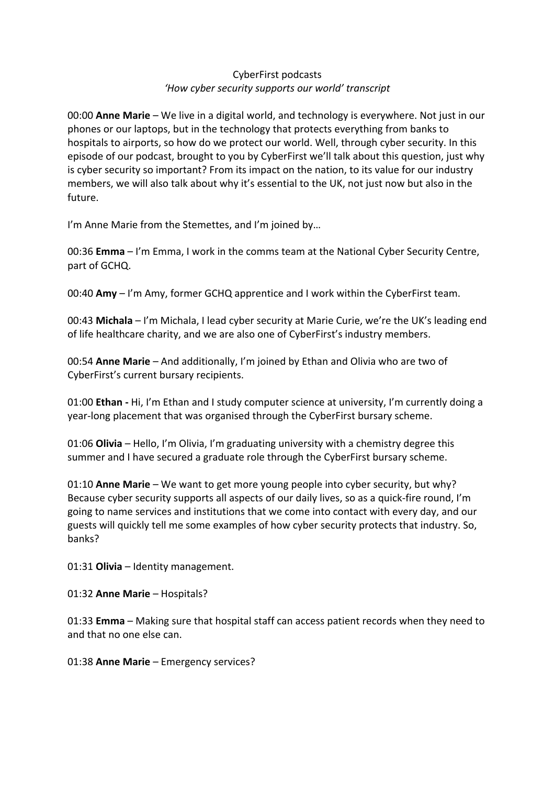## CyberFirst podcasts *'How cyber security supports our world' transcript*

00:00 **Anne Marie** – We live in a digital world, and technology is everywhere. Not just in our phones or our laptops, but in the technology that protects everything from banks to hospitals to airports, so how do we protect our world. Well, through cyber security. In this episode of our podcast, brought to you by CyberFirst we'll talk about this question, just why is cyber security so important? From its impact on the nation, to its value for our industry members, we will also talk about why it's essential to the UK, not just now but also in the future.

I'm Anne Marie from the Stemettes, and I'm joined by…

00:36 **Emma** – I'm Emma, I work in the comms team at the National Cyber Security Centre, part of GCHQ.

00:40 **Amy** – I'm Amy, former GCHQ apprentice and I work within the CyberFirst team.

00:43 **Michala** – I'm Michala, I lead cyber security at Marie Curie, we're the UK's leading end of life healthcare charity, and we are also one of CyberFirst's industry members.

00:54 **Anne Marie** – And additionally, I'm joined by Ethan and Olivia who are two of CyberFirst's current bursary recipients.

01:00 **Ethan -** Hi, I'm Ethan and I study computer science at university, I'm currently doing a year-long placement that was organised through the CyberFirst bursary scheme.

01:06 **Olivia** – Hello, I'm Olivia, I'm graduating university with a chemistry degree this summer and I have secured a graduate role through the CyberFirst bursary scheme.

01:10 **Anne Marie** – We want to get more young people into cyber security, but why? Because cyber security supports all aspects of our daily lives, so as a quick-fire round, I'm going to name services and institutions that we come into contact with every day, and our guests will quickly tell me some examples of how cyber security protects that industry. So, banks?

01:31 **Olivia** – Identity management.

01:32 **Anne Marie** – Hospitals?

01:33 **Emma** – Making sure that hospital staff can access patient records when they need to and that no one else can.

01:38 **Anne Marie** – Emergency services?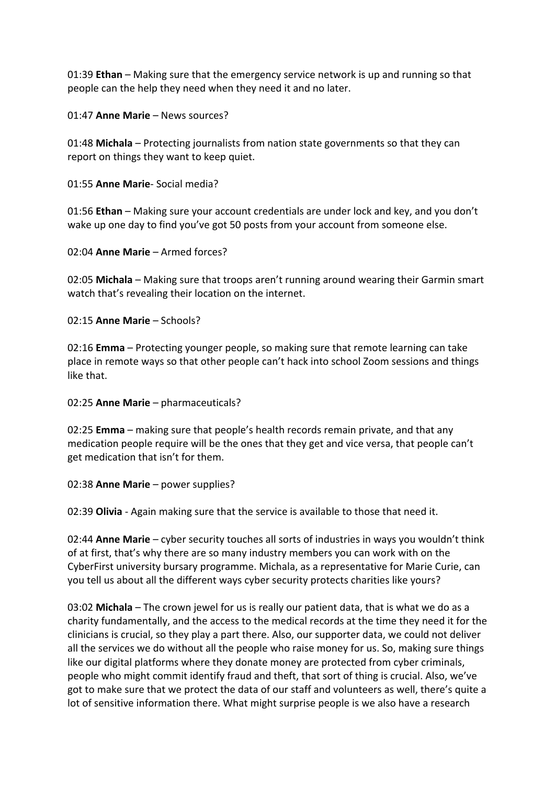01:39 **Ethan** – Making sure that the emergency service network is up and running so that people can the help they need when they need it and no later.

01:47 **Anne Marie** – News sources?

01:48 **Michala** – Protecting journalists from nation state governments so that they can report on things they want to keep quiet.

01:55 **Anne Marie**- Social media?

01:56 **Ethan** – Making sure your account credentials are under lock and key, and you don't wake up one day to find you've got 50 posts from your account from someone else.

02:04 **Anne Marie** – Armed forces?

02:05 **Michala** – Making sure that troops aren't running around wearing their Garmin smart watch that's revealing their location on the internet.

02:15 **Anne Marie** – Schools?

02:16 **Emma** – Protecting younger people, so making sure that remote learning can take place in remote ways so that other people can't hack into school Zoom sessions and things like that.

02:25 **Anne Marie** – pharmaceuticals?

02:25 **Emma** – making sure that people's health records remain private, and that any medication people require will be the ones that they get and vice versa, that people can't get medication that isn't for them.

02:38 **Anne Marie** – power supplies?

02:39 **Olivia** - Again making sure that the service is available to those that need it.

02:44 **Anne Marie** – cyber security touches all sorts of industries in ways you wouldn't think of at first, that's why there are so many industry members you can work with on the CyberFirst university bursary programme. Michala, as a representative for Marie Curie, can you tell us about all the different ways cyber security protects charities like yours?

03:02 **Michala** – The crown jewel for us is really our patient data, that is what we do as a charity fundamentally, and the access to the medical records at the time they need it for the clinicians is crucial, so they play a part there. Also, our supporter data, we could not deliver all the services we do without all the people who raise money for us. So, making sure things like our digital platforms where they donate money are protected from cyber criminals, people who might commit identify fraud and theft, that sort of thing is crucial. Also, we've got to make sure that we protect the data of our staff and volunteers as well, there's quite a lot of sensitive information there. What might surprise people is we also have a research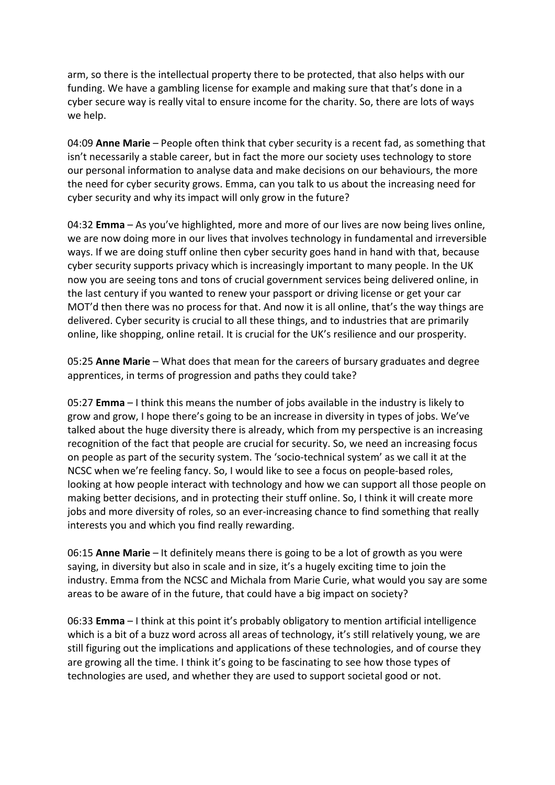arm, so there is the intellectual property there to be protected, that also helps with our funding. We have a gambling license for example and making sure that that's done in a cyber secure way is really vital to ensure income for the charity. So, there are lots of ways we help.

04:09 **Anne Marie** – People often think that cyber security is a recent fad, as something that isn't necessarily a stable career, but in fact the more our society uses technology to store our personal information to analyse data and make decisions on our behaviours, the more the need for cyber security grows. Emma, can you talk to us about the increasing need for cyber security and why its impact will only grow in the future?

04:32 **Emma** – As you've highlighted, more and more of our lives are now being lives online, we are now doing more in our lives that involves technology in fundamental and irreversible ways. If we are doing stuff online then cyber security goes hand in hand with that, because cyber security supports privacy which is increasingly important to many people. In the UK now you are seeing tons and tons of crucial government services being delivered online, in the last century if you wanted to renew your passport or driving license or get your car MOT'd then there was no process for that. And now it is all online, that's the way things are delivered. Cyber security is crucial to all these things, and to industries that are primarily online, like shopping, online retail. It is crucial for the UK's resilience and our prosperity.

05:25 **Anne Marie** – What does that mean for the careers of bursary graduates and degree apprentices, in terms of progression and paths they could take?

05:27 **Emma** – I think this means the number of jobs available in the industry is likely to grow and grow, I hope there's going to be an increase in diversity in types of jobs. We've talked about the huge diversity there is already, which from my perspective is an increasing recognition of the fact that people are crucial for security. So, we need an increasing focus on people as part of the security system. The 'socio-technical system' as we call it at the NCSC when we're feeling fancy. So, I would like to see a focus on people-based roles, looking at how people interact with technology and how we can support all those people on making better decisions, and in protecting their stuff online. So, I think it will create more jobs and more diversity of roles, so an ever-increasing chance to find something that really interests you and which you find really rewarding.

06:15 **Anne Marie** – It definitely means there is going to be a lot of growth as you were saying, in diversity but also in scale and in size, it's a hugely exciting time to join the industry. Emma from the NCSC and Michala from Marie Curie, what would you say are some areas to be aware of in the future, that could have a big impact on society?

06:33 **Emma** – I think at this point it's probably obligatory to mention artificial intelligence which is a bit of a buzz word across all areas of technology, it's still relatively young, we are still figuring out the implications and applications of these technologies, and of course they are growing all the time. I think it's going to be fascinating to see how those types of technologies are used, and whether they are used to support societal good or not.